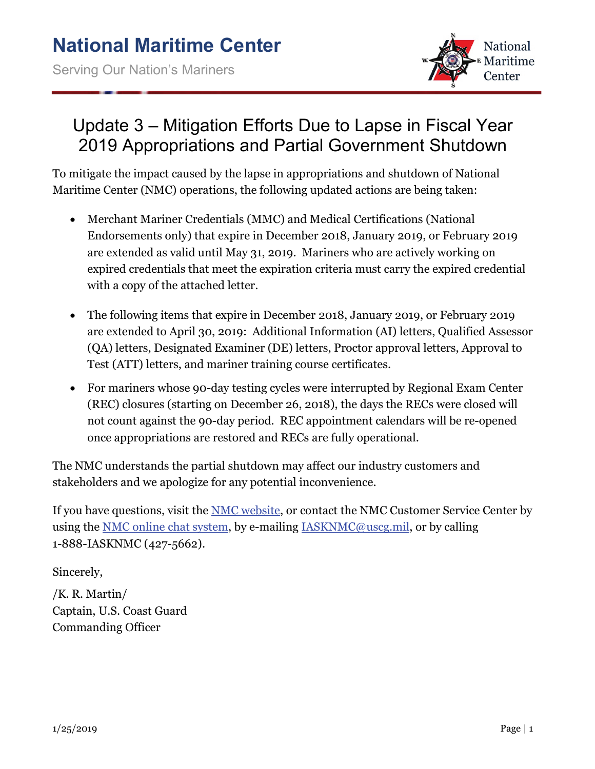

## Update 3 – Mitigation Efforts Due to Lapse in Fiscal Year 2019 Appropriations and Partial Government Shutdown

To mitigate the impact caused by the lapse in appropriations and shutdown of National Maritime Center (NMC) operations, the following updated actions are being taken:

- Merchant Mariner Credentials (MMC) and Medical Certifications (National Endorsements only) that expire in December 2018, January 2019, or February 2019 are extended as valid until May 31, 2019. Mariners who are actively working on expired credentials that meet the expiration criteria must carry the expired credential with a copy of the attached letter.
- The following items that expire in December 2018, January 2019, or February 2019 are extended to April 30, 2019: Additional Information (AI) letters, Qualified Assessor (QA) letters, Designated Examiner (DE) letters, Proctor approval letters, Approval to Test (ATT) letters, and mariner training course certificates.
- For mariners whose 90-day testing cycles were interrupted by Regional Exam Center (REC) closures (starting on December 26, 2018), the days the RECs were closed will not count against the 90-day period. REC appointment calendars will be re-opened once appropriations are restored and RECs are fully operational.

The NMC understands the partial shutdown may affect our industry customers and stakeholders and we apologize for any potential inconvenience.

If you have questions, visit the [NMC website,](https://www.dco.uscg.mil/national_maritime_center/) or contact the NMC Customer Service Center by using the [NMC online chat system,](https://www.livehelpnow.net/lhn/lcv.aspx?d=21638&ms=&zzwindow=0&lhnid=19727&custom1=&custom2=&custom3=&pcv=&time=6/15/2017%204:38:42%20PM) by e-mailing [IASKNMC@uscg.mil,](mailto:IASKNMC@uscg.mil) or by calling 1-888-IASKNMC (427-5662).

Sincerely,

/K. R. Martin/ Captain, U.S. Coast Guard Commanding Officer